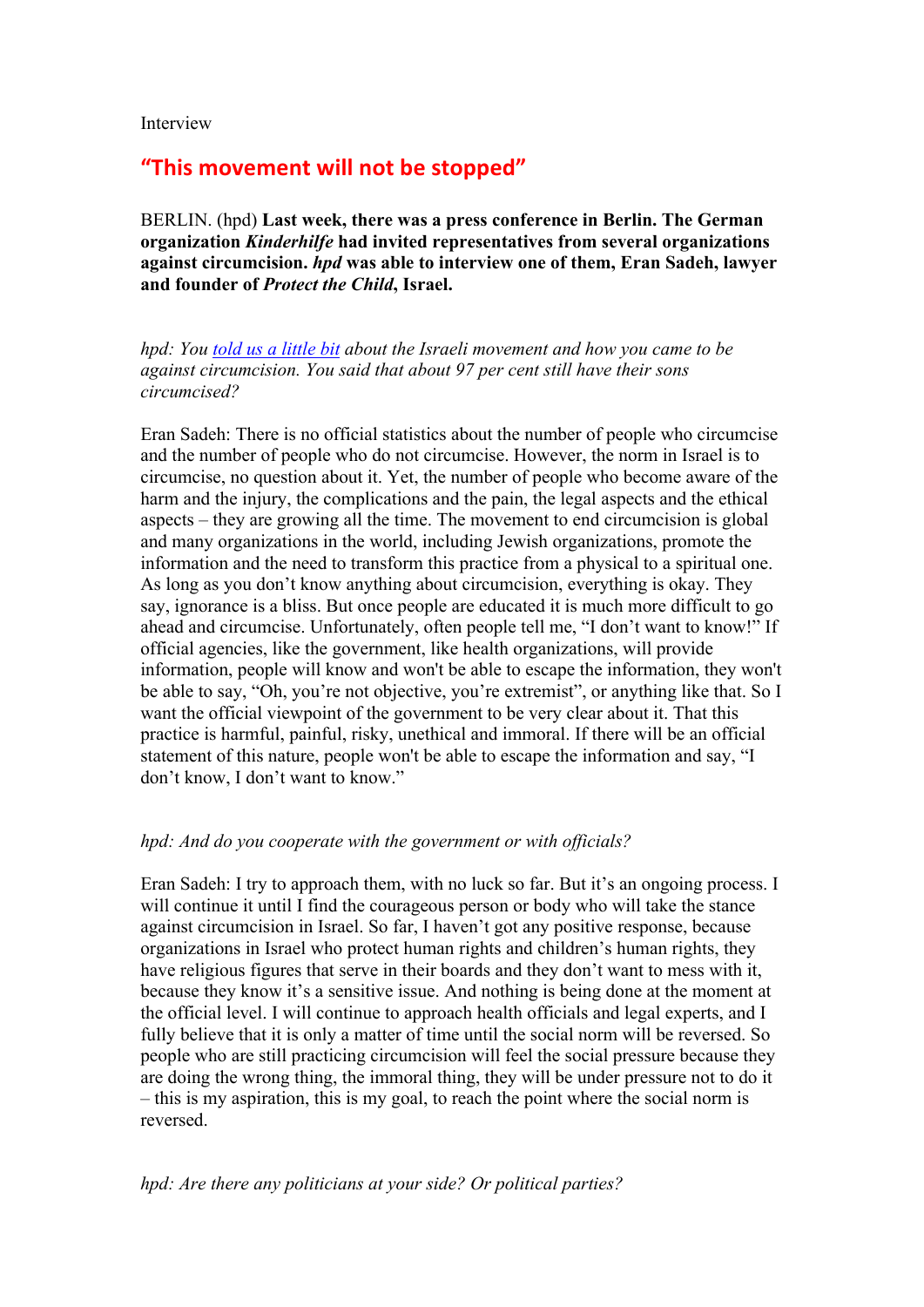Interview

# "This movement will not be stopped"

BERLIN. (hpd) **Last week, there was a press conference in Berlin. The German organization** *Kinderhilfe* **had invited representatives from several organizations against circumcision.** *hpd* **was able to interview one of them, Eran Sadeh, lawyer and founder of** *Protect the Child***, Israel.**

*hpd: You told us a little bit about the Israeli movement and how you came to be against circumcision. You said that about 97 per cent still have their sons circumcised?*

Eran Sadeh: There is no official statistics about the number of people who circumcise and the number of people who do not circumcise. However, the norm in Israel is to circumcise, no question about it. Yet, the number of people who become aware of the harm and the injury, the complications and the pain, the legal aspects and the ethical aspects – they are growing all the time. The movement to end circumcision is global and many organizations in the world, including Jewish organizations, promote the information and the need to transform this practice from a physical to a spiritual one. As long as you don't know anything about circumcision, everything is okay. They say, ignorance is a bliss. But once people are educated it is much more difficult to go ahead and circumcise. Unfortunately, often people tell me, "I don't want to know!" If official agencies, like the government, like health organizations, will provide information, people will know and won't be able to escape the information, they won't be able to say, "Oh, you're not objective, you're extremist", or anything like that. So I want the official viewpoint of the government to be very clear about it. That this practice is harmful, painful, risky, unethical and immoral. If there will be an official statement of this nature, people won't be able to escape the information and say, "I don't know, I don't want to know."

#### *hpd: And do you cooperate with the government or with officials?*

Eran Sadeh: I try to approach them, with no luck so far. But it's an ongoing process. I will continue it until I find the courageous person or body who will take the stance against circumcision in Israel. So far, I haven't got any positive response, because organizations in Israel who protect human rights and children's human rights, they have religious figures that serve in their boards and they don't want to mess with it, because they know it's a sensitive issue. And nothing is being done at the moment at the official level. I will continue to approach health officials and legal experts, and I fully believe that it is only a matter of time until the social norm will be reversed. So people who are still practicing circumcision will feel the social pressure because they are doing the wrong thing, the immoral thing, they will be under pressure not to do it – this is my aspiration, this is my goal, to reach the point where the social norm is reversed.

## *hpd: Are there any politicians at your side? Or political parties?*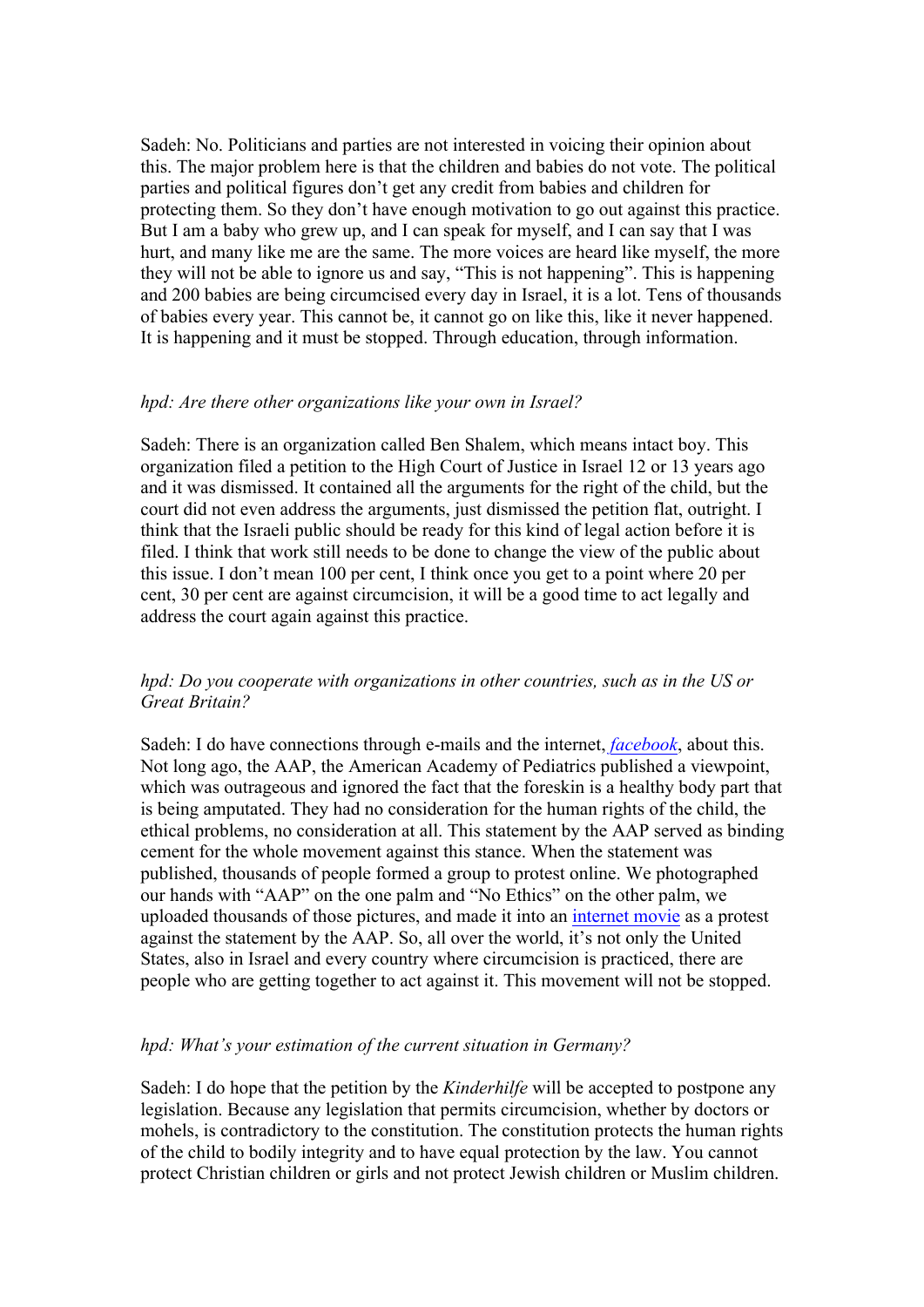Sadeh: No. Politicians and parties are not interested in voicing their opinion about this. The major problem here is that the children and babies do not vote. The political parties and political figures don't get any credit from babies and children for protecting them. So they don't have enough motivation to go out against this practice. But I am a baby who grew up, and I can speak for myself, and I can say that I was hurt, and many like me are the same. The more voices are heard like myself, the more they will not be able to ignore us and say, "This is not happening". This is happening and 200 babies are being circumcised every day in Israel, it is a lot. Tens of thousands of babies every year. This cannot be, it cannot go on like this, like it never happened. It is happening and it must be stopped. Through education, through information.

#### *hpd: Are there other organizations like your own in Israel?*

Sadeh: There is an organization called Ben Shalem, which means intact boy. This organization filed a petition to the High Court of Justice in Israel 12 or 13 years ago and it was dismissed. It contained all the arguments for the right of the child, but the court did not even address the arguments, just dismissed the petition flat, outright. I think that the Israeli public should be ready for this kind of legal action before it is filed. I think that work still needs to be done to change the view of the public about this issue. I don't mean 100 per cent, I think once you get to a point where 20 per cent, 30 per cent are against circumcision, it will be a good time to act legally and address the court again against this practice.

#### *hpd: Do you cooperate with organizations in other countries, such as in the US or Great Britain?*

Sadeh: I do have connections through e-mails and the internet, *facebook*, about this. Not long ago, the AAP, the American Academy of Pediatrics published a viewpoint, which was outrageous and ignored the fact that the foreskin is a healthy body part that is being amputated. They had no consideration for the human rights of the child, the ethical problems, no consideration at all. This statement by the AAP served as binding cement for the whole movement against this stance. When the statement was published, thousands of people formed a group to protest online. We photographed our hands with "AAP" on the one palm and "No Ethics" on the other palm, we uploaded thousands of those pictures, and made it into an internet movie as a protest against the statement by the AAP. So, all over the world, it's not only the United States, also in Israel and every country where circumcision is practiced, there are people who are getting together to act against it. This movement will not be stopped.

#### *hpd: What's your estimation of the current situation in Germany?*

Sadeh: I do hope that the petition by the *Kinderhilfe* will be accepted to postpone any legislation. Because any legislation that permits circumcision, whether by doctors or mohels, is contradictory to the constitution. The constitution protects the human rights of the child to bodily integrity and to have equal protection by the law. You cannot protect Christian children or girls and not protect Jewish children or Muslim children.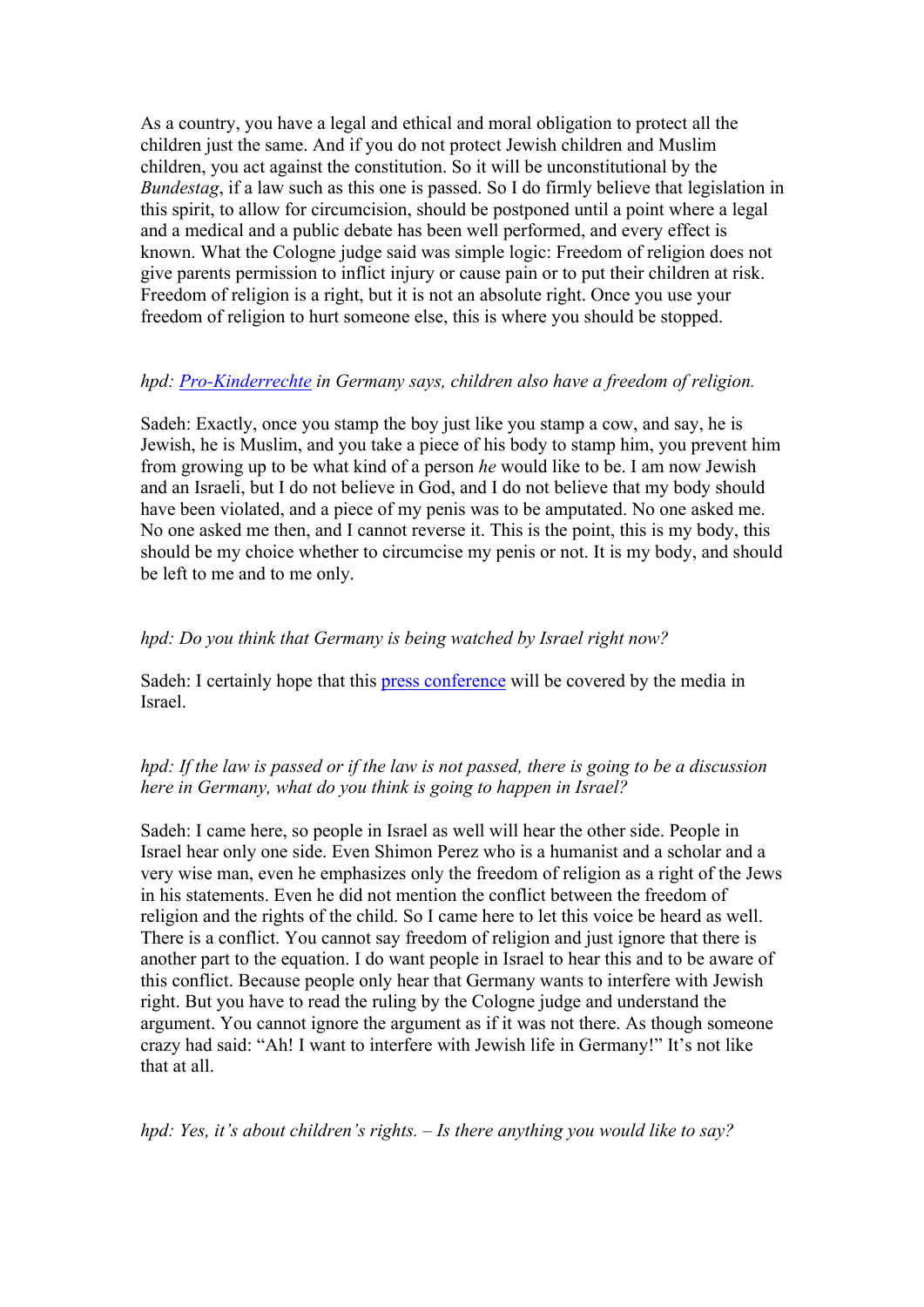As a country, you have a legal and ethical and moral obligation to protect all the children just the same. And if you do not protect Jewish children and Muslim children, you act against the constitution. So it will be unconstitutional by the *Bundestag*, if a law such as this one is passed. So I do firmly believe that legislation in this spirit, to allow for circumcision, should be postponed until a point where a legal and a medical and a public debate has been well performed, and every effect is known. What the Cologne judge said was simple logic: Freedom of religion does not give parents permission to inflict injury or cause pain or to put their children at risk. Freedom of religion is a right, but it is not an absolute right. Once you use your freedom of religion to hurt someone else, this is where you should be stopped.

#### *hpd: Pro-Kinderrechte in Germany says, children also have a freedom of religion.*

Sadeh: Exactly, once you stamp the boy just like you stamp a cow, and say, he is Jewish, he is Muslim, and you take a piece of his body to stamp him, you prevent him from growing up to be what kind of a person *he* would like to be. I am now Jewish and an Israeli, but I do not believe in God, and I do not believe that my body should have been violated, and a piece of my penis was to be amputated. No one asked me. No one asked me then, and I cannot reverse it. This is the point, this is my body, this should be my choice whether to circumcise my penis or not. It is my body, and should be left to me and to me only.

### *hpd: Do you think that Germany is being watched by Israel right now?*

Sadeh: I certainly hope that this press conference will be covered by the media in Israel.

## *hpd: If the law is passed or if the law is not passed, there is going to be a discussion here in Germany, what do you think is going to happen in Israel?*

Sadeh: I came here, so people in Israel as well will hear the other side. People in Israel hear only one side. Even Shimon Perez who is a humanist and a scholar and a very wise man, even he emphasizes only the freedom of religion as a right of the Jews in his statements. Even he did not mention the conflict between the freedom of religion and the rights of the child. So I came here to let this voice be heard as well. There is a conflict. You cannot say freedom of religion and just ignore that there is another part to the equation. I do want people in Israel to hear this and to be aware of this conflict. Because people only hear that Germany wants to interfere with Jewish right. But you have to read the ruling by the Cologne judge and understand the argument. You cannot ignore the argument as if it was not there. As though someone crazy had said: "Ah! I want to interfere with Jewish life in Germany!" It's not like that at all.

*hpd: Yes, it's about children's rights. – Is there anything you would like to say?*